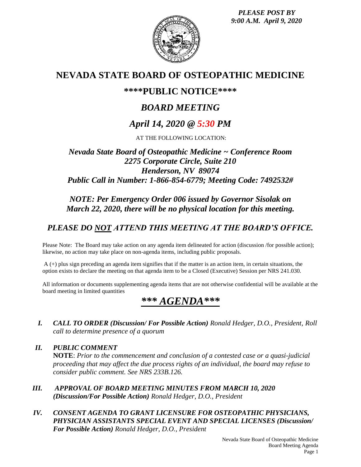*PLEASE POST BY 9:00 A.M. April 9, 2020*



## **NEVADA STATE BOARD OF OSTEOPATHIC MEDICINE**

## **\*\*\*\*PUBLIC NOTICE\*\*\*\***

# *BOARD MEETING*

# *April 14, 2020 @ 5:30 PM*

AT THE FOLLOWING LOCATION:

## *Nevada State Board of Osteopathic Medicine ~ Conference Room 2275 Corporate Circle, Suite 210 Henderson, NV 89074 Public Call in Number: 1-866-854-6779; Meeting Code: 7492532#*

### *NOTE: Per Emergency Order 006 issued by Governor Sisolak on March 22, 2020, there will be no physical location for this meeting.*

# *PLEASE DO NOT ATTEND THIS MEETING AT THE BOARD'S OFFICE.*

Please Note: The Board may take action on any agenda item delineated for action (discussion /for possible action); likewise, no action may take place on non-agenda items, including public proposals.

A (+) plus sign preceding an agenda item signifies that if the matter is an action item, in certain situations, the option exists to declare the meeting on that agenda item to be a Closed (Executive) Session per NRS 241.030.

All information or documents supplementing agenda items that are not otherwise confidential will be available at the board meeting in limited quantities

# *\*\*\* AGENDA\*\*\**

*I. CALL TO ORDER (Discussion/ For Possible Action) Ronald Hedger, D.O., President, Roll call to determine presence of a quorum*

*II. PUBLIC COMMENT* **NOTE**: *Prior to the commencement and conclusion of a contested case or a quasi-judicial proceeding that may affect the due process rights of an individual, the board may refuse to consider public comment. See NRS 233B.126.*

- *III. APPROVAL OF BOARD MEETING MINUTES FROM MARCH 10, 2020 (Discussion/For Possible Action) Ronald Hedger, D.O., President*
- *IV. CONSENT AGENDA TO GRANT LICENSURE FOR OSTEOPATHIC PHYSICIANS, PHYSICIAN ASSISTANTS SPECIAL EVENT AND SPECIAL LICENSES (Discussion/ For Possible Action) Ronald Hedger, D.O., President*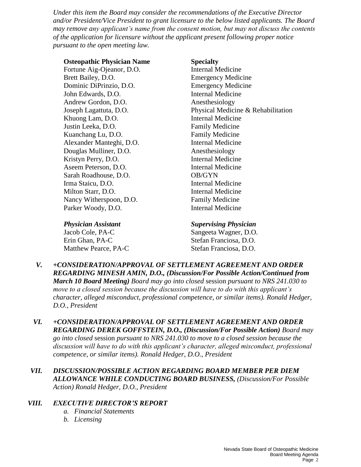*Under this item the Board may consider the recommendations of the Executive Director and/or President/Vice President to grant licensure to the below listed applicants. The Board may remove any applicant's name from the consent motion, but may not discuss the contents of the application for licensure without the applicant present following proper notice pursuant to the open meeting law.*

#### **Osteopathic Physician Name Specialty**

Fortune Aig-Ojeanor, D.O. Internal Medicine Brett Bailey, D.O. Emergency Medicine Dominic DiPrinzio, D.O. Emergency Medicine John Edwards, D.O. **Internal Medicine** Andrew Gordon, D.O. Anesthesiology Khuong Lam, D.O. Internal Medicine Justin Leeka, D.O. Family Medicine Kuanchang Lu, D.O. **Family Medicine** Alexander Manteghi, D.O. Internal Medicine Douglas Mulliner, D.O. Anesthesiology Kristyn Perry, D.O. Internal Medicine Aseem Peterson, D.O. Internal Medicine Sarah Roadhouse, D.O. **OB/GYN** Irma Staicu, D.O. **Internal Medicine** Milton Starr, D.O. **Internal Medicine** Nancy Witherspoon, D.O. Family Medicine Parker Woody, D.O. **Internal Medicine** 

Joseph Lagattuta, D.O. Physical Medicine & Rehabilitation

Erin Ghan, PA-C Stefan Franciosa, D.O. Matthew Pearce, PA-C Stefan Franciosa, D.O.

#### *Physician Assistant Supervising Physician*

Jacob Cole, PA-C Sangeeta Wagner, D.O.

- *V. +CONSIDERATION/APPROVAL OF SETTLEMENT AGREEMENT AND ORDER REGARDING MINESH AMIN, D.O., (Discussion/For Possible Action/Continued from March 10 Board Meeting) Board may go into closed* session *pursuant to NRS 241.030 to move to a closed session because the discussion will have to do with this applicant's character, alleged misconduct, professional competence, or similar items). Ronald Hedger, D.O., President*
- *VI. +CONSIDERATION/APPROVAL OF SETTLEMENT AGREEMENT AND ORDER REGARDING DEREK GOFFSTEIN, D.O., (Discussion/For Possible Action) Board may go into closed* session *pursuant to NRS 241.030 to move to a closed session because the discussion will have to do with this applicant's character, alleged misconduct, professional competence, or similar items). Ronald Hedger, D.O., President*
- *VII. DISCUSSION/POSSIBLE ACTION REGARDING BOARD MEMBER PER DIEM ALLOWANCE WHILE CONDUCTING BOARD BUSINESS, (Discussion/For Possible Action) Ronald Hedger, D.O., President*

#### *VIII. EXECUTIVE DIRECTOR'S REPORT*

- *a. Financial Statements*
- *b. Licensing*